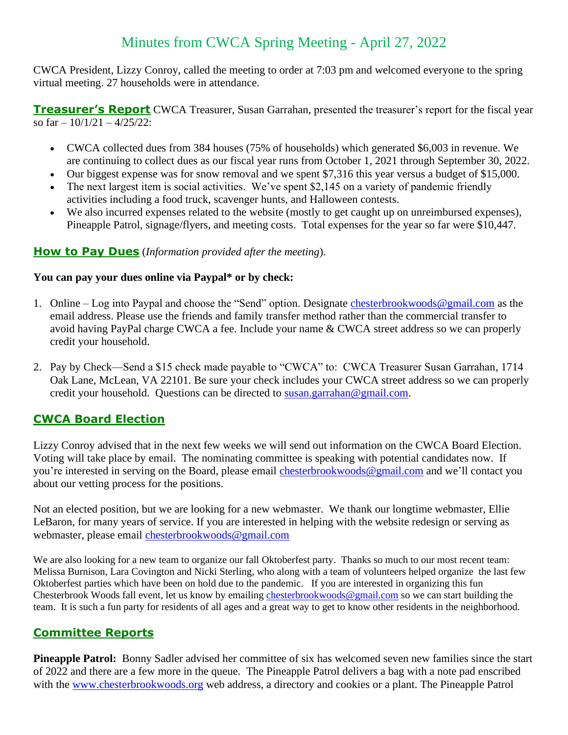# Minutes from CWCA Spring Meeting - April 27, 2022

CWCA President, Lizzy Conroy, called the meeting to order at 7:03 pm and welcomed everyone to the spring virtual meeting. 27 households were in attendance.

**Treasurer's Report** CWCA Treasurer, Susan Garrahan, presented the treasurer's report for the fiscal year so far  $-10/1/21 - 4/25/22$ :

- CWCA collected dues from 384 houses (75% of households) which generated \$6,003 in revenue. We are continuing to collect dues as our fiscal year runs from October 1, 2021 through September 30, 2022.
- Our biggest expense was for snow removal and we spent \$7,316 this year versus a budget of \$15,000.
- The next largest item is social activities. We've spent \$2,145 on a variety of pandemic friendly activities including a food truck, scavenger hunts, and Halloween contests.
- We also incurred expenses related to the website (mostly to get caught up on unreimbursed expenses), Pineapple Patrol, signage/flyers, and meeting costs. Total expenses for the year so far were \$10,447.

### **How to Pay Dues** (*Information provided after the meeting*).

#### **You can pay your dues online via Paypal\* or by check:**

- 1. Online Log into Paypal and choose the "Send" option. Designate [chesterbrookwoods@gmail.com](mailto:chesterbrookwoods@gmail.com) as the email address. Please use the friends and family transfer method rather than the commercial transfer to avoid having PayPal charge CWCA a fee. Include your name & CWCA street address so we can properly credit your household.
- 2. Pay by Check—Send a \$15 check made payable to "CWCA" to: CWCA Treasurer Susan Garrahan, 1714 Oak Lane, McLean, VA 22101. Be sure your check includes your CWCA street address so we can properly credit your household. Questions can be directed to [susan.garrahan@gmail.com.](file:///D:/Betty%20old%20computer%20data%20keep%20this/Documents/Betty/CWCA/CWCA%20meeting%20and%20minutes/agenda%20and%20minutes/susan.garrahan@gmail.com)

# **CWCA Board Election**

Lizzy Conroy advised that in the next few weeks we will send out information on the CWCA Board Election. Voting will take place by email. The nominating committee is speaking with potential candidates now. If you're interested in serving on the Board, please email [chesterbrookwoods@gmail.com](mailto:chesterbrookwoods@gmail.com) and we'll contact you about our vetting process for the positions.

Not an elected position, but we are looking for a new webmaster. We thank our longtime webmaster, Ellie LeBaron, for many years of service. If you are interested in helping with the website redesign or serving as webmaster, please email [chesterbrookwoods@gmail.com](mailto:chesterbrookwoods@gmail.com)

We are also looking for a new team to organize our fall Oktoberfest party. Thanks so much to our most recent team: Melissa Burnison, Lara Covington and Nicki Sterling, who along with a team of volunteers helped organize the last few Oktoberfest parties which have been on hold due to the pandemic. If you are interested in organizing this fun Chesterbrook Woods fall event, let us know by emailing [chesterbrookwoods@gmail.com](mailto:chesterbrookwoods@gmail.com) so we can start building the team. It is such a fun party for residents of all ages and a great way to get to know other residents in the neighborhood.

# **Committee Reports**

**Pineapple Patrol:** Bonny Sadler advised her committee of six has welcomed seven new families since the start of 2022 and there are a few more in the queue. The Pineapple Patrol delivers a bag with a note pad enscribed with the [www.chesterbrookwoods.org](http://www.chesterbrookwoods.org/) web address, a directory and cookies or a plant. The Pineapple Patrol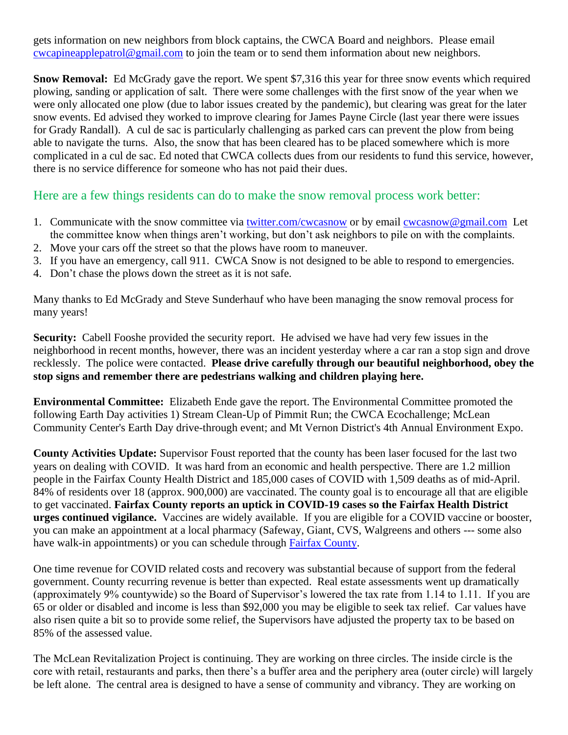gets information on new neighbors from block captains, the CWCA Board and neighbors. Please email [cwcapineapplepatrol@gmail.com](mailto:cwcapineapplepatrol@gmail.com) to join the team or to send them information about new neighbors.

**Snow Removal:** Ed McGrady gave the report. We spent \$7,316 this year for three snow events which required plowing, sanding or application of salt. There were some challenges with the first snow of the year when we were only allocated one plow (due to labor issues created by the pandemic), but clearing was great for the later snow events. Ed advised they worked to improve clearing for James Payne Circle (last year there were issues for Grady Randall). A cul de sac is particularly challenging as parked cars can prevent the plow from being able to navigate the turns. Also, the snow that has been cleared has to be placed somewhere which is more complicated in a cul de sac. Ed noted that CWCA collects dues from our residents to fund this service, however, there is no service difference for someone who has not paid their dues.

Here are a few things residents can do to make the snow removal process work better:

- 1. Communicate with the snow committee via<twitter.com/cwcasnow> or by email [cwcasnow@gmail.com](mailto:cwcasnow@gmail.com) Let the committee know when things aren't working, but don't ask neighbors to pile on with the complaints.
- 2. Move your cars off the street so that the plows have room to maneuver.
- 3. If you have an emergency, call 911. CWCA Snow is not designed to be able to respond to emergencies.
- 4. Don't chase the plows down the street as it is not safe.

Many thanks to Ed McGrady and Steve Sunderhauf who have been managing the snow removal process for many years!

**Security:** Cabell Fooshe provided the security report. He advised we have had very few issues in the neighborhood in recent months, however, there was an incident yesterday where a car ran a stop sign and drove recklessly. The police were contacted. **Please drive carefully through our beautiful neighborhood, obey the stop signs and remember there are pedestrians walking and children playing here.** 

**Environmental Committee:** Elizabeth Ende gave the report. The Environmental Committee promoted the following Earth Day activities 1) Stream Clean-Up of Pimmit Run; the CWCA Ecochallenge; McLean Community Center's Earth Day drive-through event; and Mt Vernon District's 4th Annual Environment Expo.

**County Activities Update:** Supervisor Foust reported that the county has been laser focused for the last two years on dealing with COVID. It was hard from an economic and health perspective. There are 1.2 million people in the Fairfax County Health District and 185,000 cases of COVID with 1,509 deaths as of mid-April. 84% of residents over 18 (approx. 900,000) are vaccinated. The county goal is to encourage all that are eligible to get vaccinated. **Fairfax County reports an uptick in COVID-19 cases so the Fairfax Health District urges continued vigilance.** Vaccines are widely available.If you are eligible for a COVID vaccine or booster, you can make an appointment at a local pharmacy (Safeway, Giant, CVS, Walgreens and others --- some also have walk-in appointments) or you can schedule through [Fairfax County.](https://www.fairfaxcounty.gov/health/novel-coronavirus/vaccine/third-doses)

One time revenue for COVID related costs and recovery was substantial because of support from the federal government. County recurring revenue is better than expected. Real estate assessments went up dramatically (approximately 9% countywide) so the Board of Supervisor's lowered the tax rate from 1.14 to 1.11. If you are 65 or older or disabled and income is less than \$92,000 you may be eligible to seek tax relief. Car values have also risen quite a bit so to provide some relief, the Supervisors have adjusted the property tax to be based on 85% of the assessed value.

The McLean Revitalization Project is continuing. They are working on three circles. The inside circle is the core with retail, restaurants and parks, then there's a buffer area and the periphery area (outer circle) will largely be left alone. The central area is designed to have a sense of community and vibrancy. They are working on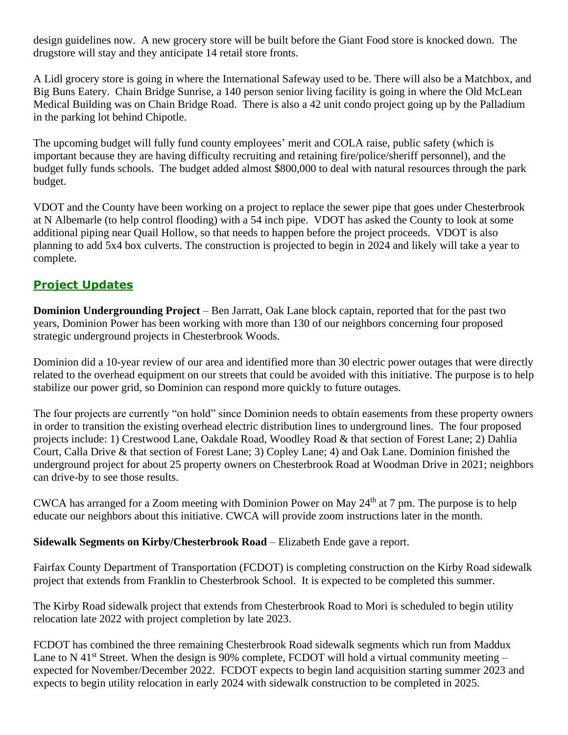design guidelines now. A new grocery store will be built before the Giant Food store is knocked down. The drugstore will stay and they anticipate 14 retail store fronts.

A Lidl grocery store is going in where the International Safeway used to be. There will also be a Matchbox, and Big Buns Eatery. Chain Bridge Sunrise, a 140 person senior living facility is going in where the Old McLean Medical Building was on Chain Bridge Road. There is also a 42 unit condo project going up by the Palladium in the parking lot behind Chipotle.

The upcoming budget will fully fund county employees' merit and COLA raise, public safety (which is important because they are having difficulty recruiting and retaining fire/police/sheriff personnel), and the budget fully funds schools. The budget added almost \$800,000 to deal with natural resources through the park budget.

VDOT and the County have been working on a project to replace the sewer pipe that goes under Chesterbrook at N Albemarle (to help control flooding) with a 54 inch pipe. VDOT has asked the County to look at some additional piping near Quail Hollow, so that needs to happen before the project proceeds. VDOT is also planning to add 5x4 box culverts. The construction is projected to begin in 2024 and likely will take a year to complete.

# **Project Updates**

**Dominion Undergrounding Project** – Ben Jarratt, Oak Lane block captain, reported that for the past two years, Dominion Power has been working with more than 130 of our neighbors concerning four proposed strategic underground projects in Chesterbrook Woods.

Dominion did a 10-year review of our area and identified more than 30 electric power outages that were directly related to the overhead equipment on our streets that could be avoided with this initiative. The purpose is to help stabilize our power grid, so Dominion can respond more quickly to future outages.

The four projects are currently "on hold" since Dominion needs to obtain easements from these property owners in order to transition the existing overhead electric distribution lines to underground lines. The four proposed projects include: 1) Crestwood Lane, Oakdale Road, Woodley Road & that section of Forest Lane; 2) Dahlia Court, Calla Drive & that section of Forest Lane; 3) Copley Lane; 4) and Oak Lane. Dominion finished the underground project for about 25 property owners on Chesterbrook Road at Woodman Drive in 2021; neighbors can drive-by to see those results.

CWCA has arranged for a Zoom meeting with Dominion Power on May  $24<sup>th</sup>$  at 7 pm. The purpose is to help educate our neighbors about this initiative. CWCA will provide zoom instructions later in the month.

#### **Sidewalk Segments on Kirby/Chesterbrook Road** – Elizabeth Ende gave a report.

Fairfax County Department of Transportation (FCDOT) is completing construction on the Kirby Road sidewalk project that extends from Franklin to Chesterbrook School. It is expected to be completed this summer.

The Kirby Road sidewalk project that extends from Chesterbrook Road to Mori is scheduled to begin utility relocation late 2022 with project completion by late 2023.

FCDOT has combined the three remaining Chesterbrook Road sidewalk segments which run from Maddux Lane to N 41<sup>st</sup> Street. When the design is 90% complete, FCDOT will hold a virtual community meeting – expected for November/December 2022. FCDOT expects to begin land acquisition starting summer 2023 and expects to begin utility relocation in early 2024 with sidewalk construction to be completed in 2025.